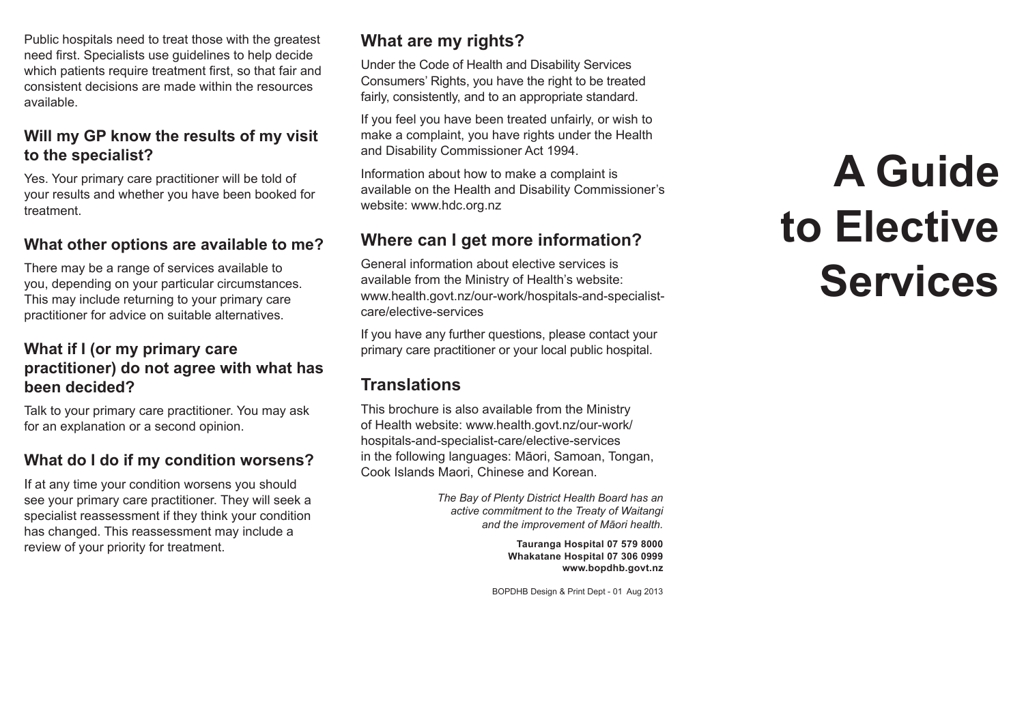Public hospitals need to treat those with the greatest need first. Specialists use guidelines to help decide which patients require treatment first, so that fair and consistent decisions are made within the resources available.

### **Will my GP know the results of my visit to the specialist?**

Yes. Your primary care practitioner will be told of your results and whether you have been booked for treatment.

### **What other options are available to me?**

There may be a range of services available to you, depending on your particular circumstances. This may include returning to your primary care practitioner for advice on suitable alternatives.

### **What if I (or my primary care practitioner) do not agree with what has been decided?**

Talk to your primary care practitioner. You may ask for an explanation or a second opinion.

### **What do I do if my condition worsens?**

If at any time your condition worsens you should see your primary care practitioner. They will seek a specialist reassessment if they think your condition has changed. This reassessment may include a review of your priority for treatment.

# **What are my rights?**

Under the Code of Health and Disability Services Consumers' Rights, you have the right to be treated fairly, consistently, and to an appropriate standard.

If you feel you have been treated unfairly, or wish to make a complaint, you have rights under the Health and Disability Commissioner Act 1994.

Information about how to make a complaint is available on the Health and Disability Commissioner's website: www.hdc.org.nz

## **Where can I get more information?**

General information about elective services is available from the Ministry of Health's website: www.health.govt.nz/our-work/hospitals-and-specialistcare/elective-services

If you have any further questions, please contact your primary care practitioner or your local public hospital.

# **Translations**

This brochure is also available from the Ministry of Health website: www.health.govt.nz/our-work/ hospitals-and-specialist-care/elective-services in the following languages: Māori, Samoan, Tongan, Cook Islands Maori, Chinese and Korean.

> *The Bay of Plenty District Health Board has an active commitment to the Treaty of Waitangi and the improvement of Māori health.*

> > **Tauranga Hospital 07 579 8000 Whakatane Hospital 07 306 0999 www.bopdhb.govt.nz**

BOPDHB Design & Print Dept - 01 Aug 2013

# **A Guide to Elective Services**